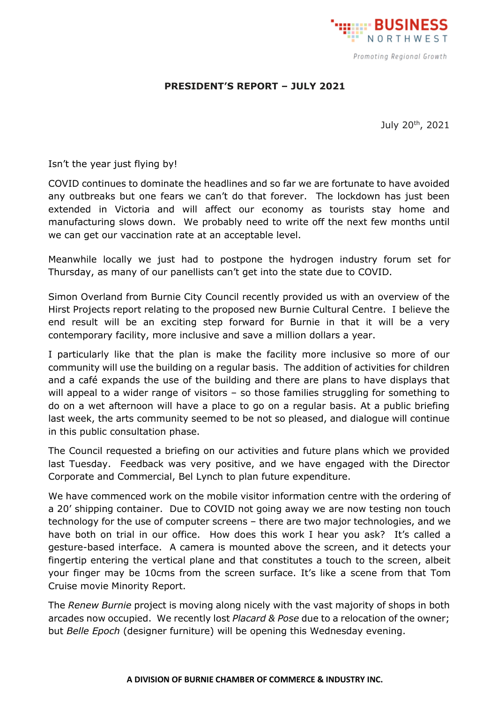

## **PRESIDENT'S REPORT – JULY 2021**

July 20th, 2021

Isn't the year just flying by!

COVID continues to dominate the headlines and so far we are fortunate to have avoided any outbreaks but one fears we can't do that forever. The lockdown has just been extended in Victoria and will affect our economy as tourists stay home and manufacturing slows down. We probably need to write off the next few months until we can get our vaccination rate at an acceptable level.

Meanwhile locally we just had to postpone the hydrogen industry forum set for Thursday, as many of our panellists can't get into the state due to COVID.

Simon Overland from Burnie City Council recently provided us with an overview of the Hirst Projects report relating to the proposed new Burnie Cultural Centre. I believe the end result will be an exciting step forward for Burnie in that it will be a very contemporary facility, more inclusive and save a million dollars a year.

I particularly like that the plan is make the facility more inclusive so more of our community will use the building on a regular basis. The addition of activities for children and a café expands the use of the building and there are plans to have displays that will appeal to a wider range of visitors – so those families struggling for something to do on a wet afternoon will have a place to go on a regular basis. At a public briefing last week, the arts community seemed to be not so pleased, and dialogue will continue in this public consultation phase.

The Council requested a briefing on our activities and future plans which we provided last Tuesday. Feedback was very positive, and we have engaged with the Director Corporate and Commercial, Bel Lynch to plan future expenditure.

We have commenced work on the mobile visitor information centre with the ordering of a 20' shipping container. Due to COVID not going away we are now testing non touch technology for the use of computer screens – there are two major technologies, and we have both on trial in our office. How does this work I hear you ask? It's called a gesture-based interface. A camera is mounted above the screen, and it detects your fingertip entering the vertical plane and that constitutes a touch to the screen, albeit your finger may be 10cms from the screen surface. It's like a scene from that Tom Cruise movie Minority Report.

The *Renew Burnie* project is moving along nicely with the vast majority of shops in both arcades now occupied. We recently lost *Placard & Pose* due to a relocation of the owner; but *Belle Epoch* (designer furniture) will be opening this Wednesday evening.